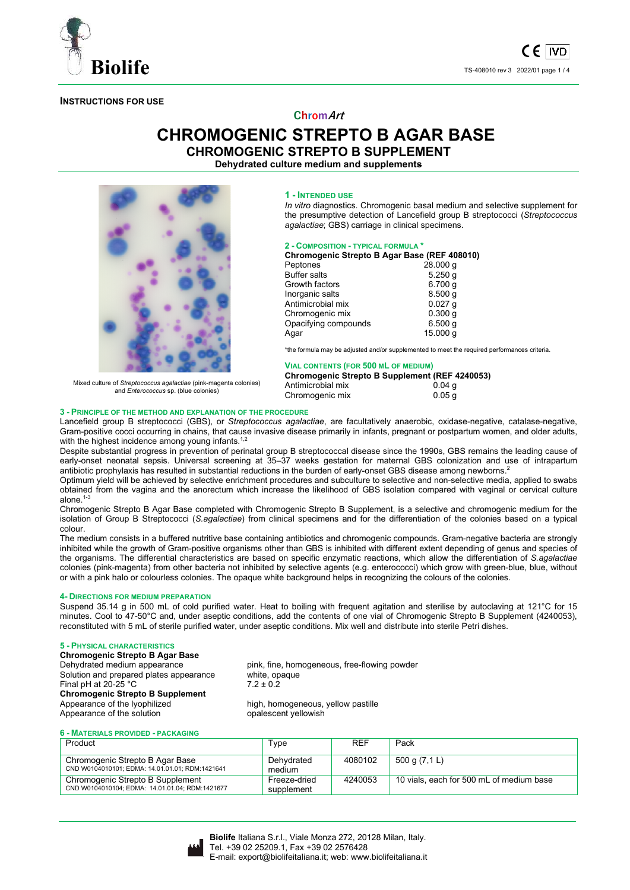

## **INSTRUCTIONS FOR USE**

# **ChromArt**

# **CHROMOGENIC STREPTO B AGAR BASE**

**CHROMOGENIC STREPTO B SUPPLEMENT** 

**Dehydrated culture medium and supplements** 



Mixed culture of *Streptococcus agalactiae* (pink-magenta colonies) and *Enterococcus* sp. (blue colonies)

#### **1 - INTENDED USE**

*In vitro* diagnostics. Chromogenic basal medium and selective supplement for the presumptive detection of Lancefield group B streptococci (*Streptococcus agalactiae*; GBS) carriage in clinical specimens.

## **2 - COMPOSITION - TYPICAL FORMULA \***

| Chromogenic Strepto B Agar Base (REF 408010) |           |  |  |
|----------------------------------------------|-----------|--|--|
| Peptones                                     | 28.000q   |  |  |
| <b>Buffer salts</b>                          | 5.250q    |  |  |
| Growth factors                               | 6.700q    |  |  |
| Inorganic salts                              | 8.500q    |  |  |
| Antimicrobial mix                            | $0.027$ q |  |  |
| Chromogenic mix                              | 0.300q    |  |  |
| Opacifying compounds                         | 6.500q    |  |  |
| Agar                                         | 15.000 g  |  |  |

\*the formula may be adjusted and/or supplemented to meet the required performances criteria.

| <b>VIAL CONTENTS (FOR 500 ML OF MEDIUM)</b>           |                    |  |  |
|-------------------------------------------------------|--------------------|--|--|
| <b>Chromogenic Strepto B Supplement (REF 4240053)</b> |                    |  |  |
| Antimicrobial mix                                     | $0.04 \; \text{a}$ |  |  |
| Chromogenic mix                                       | 0.05a              |  |  |

#### **3 - PRINCIPLE OF THE METHOD AND EXPLANATION OF THE PROCEDURE**

Lancefield group B streptococci (GBS), or *Streptococcus agalactiae*, are facultatively anaerobic, oxidase-negative, catalase-negative, Gram-positive cocci occurring in chains, that cause invasive disease primarily in infants, pregnant or postpartum women, and older adults, with the highest incidence among young infants.<sup>1,2</sup>

Despite substantial progress in prevention of perinatal group B streptococcal disease since the 1990s, GBS remains the leading cause of early-onset neonatal sepsis. Universal screening at 35–37 weeks gestation for maternal GBS colonization and use of intrapartum antibiotic prophylaxis has resulted in substantial reductions in the burden of early-onset GBS disease among newborns.<sup>2</sup>

Optimum yield will be achieved by selective enrichment procedures and subculture to selective and non-selective media, applied to swabs obtained from the vagina and the anorectum which increase the likelihood of GBS isolation compared with vaginal or cervical culture alone $1$ -

Chromogenic Strepto B Agar Base completed with Chromogenic Strepto B Supplement, is a selective and chromogenic medium for the isolation of Group B Streptococci (*S.agalactiae*) from clinical specimens and for the differentiation of the colonies based on a typical colour.

The medium consists in a buffered nutritive base containing antibiotics and chromogenic compounds. Gram-negative bacteria are strongly inhibited while the growth of Gram-positive organisms other than GBS is inhibited with different extent depending of genus and species of the organisms. The differential characteristics are based on specific enzymatic reactions, which allow the differentiation of *S.agalactiae* colonies (pink-magenta) from other bacteria not inhibited by selective agents (e.g. enterococci) which grow with green-blue, blue, without or with a pink halo or colourless colonies. The opaque white background helps in recognizing the colours of the colonies.

## **4- DIRECTIONS FOR MEDIUM PREPARATION**

Suspend 35.14 g in 500 mL of cold purified water. Heat to boiling with frequent agitation and sterilise by autoclaving at 121°C for 15 minutes. Cool to 47-50°C and, under aseptic conditions, add the contents of one vial of Chromogenic Strepto B Supplement (4240053), reconstituted with 5 mL of sterile purified water, under aseptic conditions. Mix well and distribute into sterile Petri dishes.

## **5 - PHYSICAL CHARACTERISTICS**

**Chromogenic Strepto B Agar Base** Solution and prepared plates appearance Final pH at 20-25 °C  $7.2 \pm 0.2$ **Chromogenic Strepto B Supplement**  Appearance of the solution

pink, fine, homogeneous, free-flowing powder<br>white, opaque

high, homogeneous, yellow pastille opalescent yellowish

## **6 - MATERIALS PROVIDED - PACKAGING**

| Product                                                                             | Type                       | <b>REF</b> | Pack                                     |
|-------------------------------------------------------------------------------------|----------------------------|------------|------------------------------------------|
| Chromogenic Strepto B Agar Base<br>CND W0104010101: EDMA: 14.01.01.01: RDM:1421641  | Dehvdrated<br>medium       | 4080102    | 500 g (7,1 L)                            |
| Chromogenic Strepto B Supplement<br>CND W0104010104: EDMA: 14.01.01.04: RDM:1421677 | Freeze-dried<br>supplement | 4240053    | 10 vials, each for 500 mL of medium base |

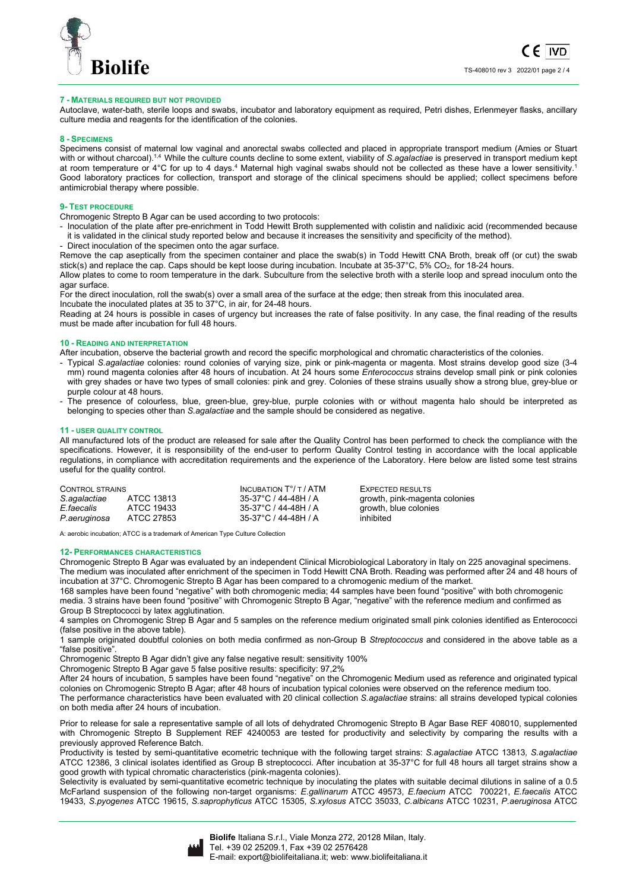

## **7 - MATERIALS REQUIRED BUT NOT PROVIDED**

Autoclave, water-bath, sterile loops and swabs, incubator and laboratory equipment as required, Petri dishes, Erlenmeyer flasks, ancillary culture media and reagents for the identification of the colonies.

#### **8 - SPECIMENS**

Specimens consist of maternal low vaginal and anorectal swabs collected and placed in appropriate transport medium (Amies or Stuart with or without charcoal).<sup>1,4</sup> While the culture counts decline to some extent, viability of *S. agalactiae* is preserved in transport medium kept at room temperature or 4°C for up to 4 days.<sup>4</sup> Maternal high vaginal swabs should not be collected as these have a lower sensitivity.<sup>1</sup> Good laboratory practices for collection, transport and storage of the clinical specimens should be applied; collect specimens before antimicrobial therapy where possible.

#### **9- TEST PROCEDURE**

Chromogenic Strepto B Agar can be used according to two protocols:

- Inoculation of the plate after pre-enrichment in Todd Hewitt Broth supplemented with colistin and nalidixic acid (recommended because it is validated in the clinical study reported below and because it increases the sensitivity and specificity of the method).
- Direct inoculation of the specimen onto the agar surface.

Remove the cap aseptically from the specimen container and place the swab(s) in Todd Hewitt CNA Broth, break off (or cut) the swab stick(s) and replace the cap. Caps should be kept loose during incubation. Incubate at 35-37°C, 5% CO<sub>2</sub>, for 18-24 hours.

Allow plates to come to room temperature in the dark. Subculture from the selective broth with a sterile loop and spread inoculum onto the agar surface.

For the direct inoculation, roll the swab(s) over a small area of the surface at the edge; then streak from this inoculated area. Incubate the inoculated plates at 35 to 37°C, in air, for 24-48 hours.

Reading at 24 hours is possible in cases of urgency but increases the rate of false positivity. In any case, the final reading of the results must be made after incubation for full 48 hours.

#### **10 - READING AND INTERPRETATION**

After incubation, observe the bacterial growth and record the specific morphological and chromatic characteristics of the colonies.

- Typical *S.agalactiae* colonies: round colonies of varying size, pink or pink-magenta or magenta. Most strains develop good size (3-4 mm) round magenta colonies after 48 hours of incubation. At 24 hours some *Enterococcus* strains develop small pink or pink colonies with grey shades or have two types of small colonies: pink and grey. Colonies of these strains usually show a strong blue, grey-blue or purple colour at 48 hours.
- The presence of colourless, blue, green-blue, grey-blue, purple colonies with or without magenta halo should be interpreted as belonging to species other than *S.agalactiae* and the sample should be considered as negative.

#### **11 - USER QUALITY CONTROL**

All manufactured lots of the product are released for sale after the Quality Control has been performed to check the compliance with the specifications. However, it is responsibility of the end-user to perform Quality Control testing in accordance with the local applicable regulations, in compliance with accreditation requirements and the experience of the Laboratory. Here below are listed some test strains useful for the quality control.

| CONTROL STRAINS |            | INCUBATION $T^{\circ}/T$ / ATM | EXPECTED RESULTS              |
|-----------------|------------|--------------------------------|-------------------------------|
| S.agalactiae    | ATCC 13813 | 35-37°C / 44-48H / A           | growth, pink-magenta colonies |
| E faecalis      | ATCC 19433 | 35-37°C / 44-48H / A           | growth, blue colonies         |
| P.aeruginosa    | ATCC 27853 | 35-37°C / 44-48H / A           | inhibited                     |

A: aerobic incubation; ATCC is a trademark of American Type Culture Collection

#### **12- PERFORMANCES CHARACTERISTICS**

Chromogenic Strepto B Agar was evaluated by an independent Clinical Microbiological Laboratory in Italy on 225 anovaginal specimens. The medium was inoculated after enrichment of the specimen in Todd Hewitt CNA Broth. Reading was performed after 24 and 48 hours of incubation at 37°C. Chromogenic Strepto B Agar has been compared to a chromogenic medium of the market.

168 samples have been found "negative" with both chromogenic media; 44 samples have been found "positive" with both chromogenic media. 3 strains have been found "positive" with Chromogenic Strepto B Agar, "negative" with the reference medium and confirmed as Group B Streptococci by latex agglutination.

4 samples on Chromogenic Strep B Agar and 5 samples on the reference medium originated small pink colonies identified as Enterococci (false positive in the above table).

1 sample originated doubtful colonies on both media confirmed as non-Group B *Streptococcus* and considered in the above table as a "false positive".

Chromogenic Strepto B Agar didn't give any false negative result: sensitivity 100%

Chromogenic Strepto B Agar gave 5 false positive results: specificity: 97,2%

After 24 hours of incubation, 5 samples have been found "negative" on the Chromogenic Medium used as reference and originated typical colonies on Chromogenic Strepto B Agar; after 48 hours of incubation typical colonies were observed on the reference medium too. The performance characteristics have been evaluated with 20 clinical collection *S.agalactiae* strains: all strains developed typical colonies

on both media after 24 hours of incubation. Prior to release for sale a representative sample of all lots of dehydrated Chromogenic Strepto B Agar Base REF 408010, supplemented

with Chromogenic Strepto B Supplement REF 4240053 are tested for productivity and selectivity by comparing the results with a previously approved Reference Batch.

Productivity is tested by semi-quantitative ecometric technique with the following target strains: *S.agalactiae* ATCC 13813*, S.agalactiae* ATCC 12386, 3 clinical isolates identified as Group B streptococci. After incubation at 35-37°C for full 48 hours all target strains show a good growth with typical chromatic characteristics (pink-magenta colonies).

Selectivity is evaluated by semi-quantitative ecometric technique by inoculating the plates with suitable decimal dilutions in saline of a 0.5 McFarland suspension of the following non-target organisms: *E.gallinarum* ATCC 49573, *E.faecium* ATCC 700221, *E.faecalis* ATCC 19433, *S.pyogenes* ATCC 19615, *S.saprophyticus* ATCC 15305, *S.xylosus* ATCC 35033, *C.albicans* ATCC 10231, *P.aeruginosa* ATCC

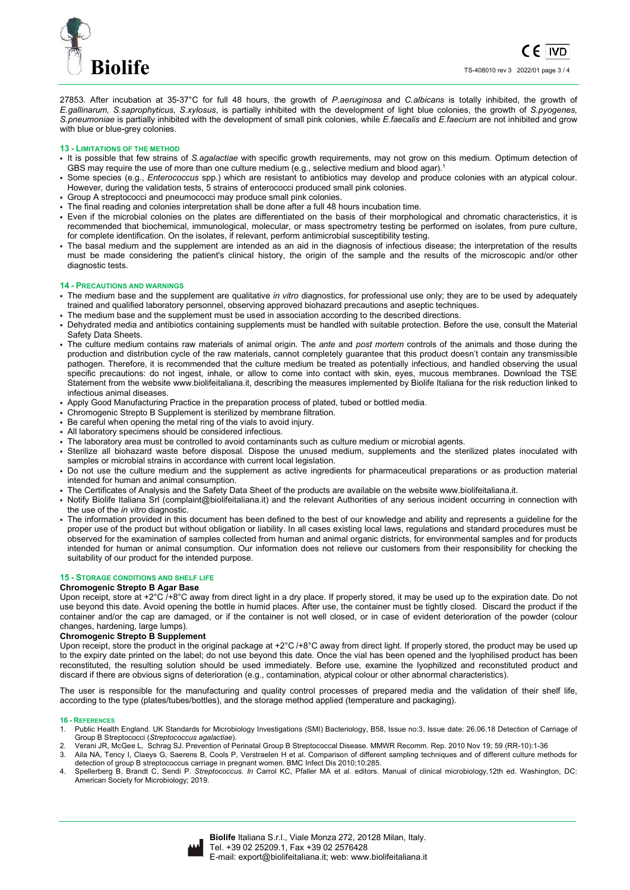

27853*.* After incubation at 35-37°C for full 48 hours, the growth of *P.aeruginosa* and *C.albicans* is totally inhibited, the growth of *E.gallinarum, S.saprophyticus, S.xylosus*, is partially inhibited with the development of light blue colonies, the growth of *S.pyogenes, S.pneumoniae* is partially inhibited with the development of small pink colonies, while *E.faecalis* and *E.faecium* are not inhibited and grow with blue or blue-grey colonies.

## **13 - LIMITATIONS OF THE METHOD**

- It is possible that few strains of *S.agalactiae* with specific growth requirements, may not grow on this medium. Optimum detection of GBS may require the use of more than one culture medium (e.g., selective medium and blood agar).<sup>1</sup>
- Some species (e.g., *Enterococcus* spp.) which are resistant to antibiotics may develop and produce colonies with an atypical colour. However, during the validation tests, 5 strains of enterococci produced small pink colonies.
- Group A streptococci and pneumococci may produce small pink colonies.
- The final reading and colonies interpretation shall be done after a full 48 hours incubation time.
- Even if the microbial colonies on the plates are differentiated on the basis of their morphological and chromatic characteristics, it is recommended that biochemical, immunological, molecular, or mass spectrometry testing be performed on isolates, from pure culture, for complete identification. On the isolates, if relevant, perform antimicrobial susceptibility testing.
- The basal medium and the supplement are intended as an aid in the diagnosis of infectious disease; the interpretation of the results must be made considering the patient's clinical history, the origin of the sample and the results of the microscopic and/or other diagnostic tests.

#### **14 - PRECAUTIONS AND WARNINGS**

- The medium base and the supplement are qualitative *in vitro* diagnostics, for professional use only; they are to be used by adequately trained and qualified laboratory personnel, observing approved biohazard precautions and aseptic techniques.
- The medium base and the supplement must be used in association according to the described directions.
- Dehydrated media and antibiotics containing supplements must be handled with suitable protection. Before the use, consult the Material Safety Data Sheets.
- The culture medium contains raw materials of animal origin. The *ante* and *post mortem* controls of the animals and those during the production and distribution cycle of the raw materials, cannot completely guarantee that this product doesn't contain any transmissible pathogen. Therefore, it is recommended that the culture medium be treated as potentially infectious, and handled observing the usual specific precautions: do not ingest, inhale, or allow to come into contact with skin, eyes, mucous membranes. Download the TSE Statement from the website www.biolifeitaliana.it, describing the measures implemented by Biolife Italiana for the risk reduction linked to infectious animal diseases.
- Apply Good Manufacturing Practice in the preparation process of plated, tubed or bottled media.
- Chromogenic Strepto B Supplement is sterilized by membrane filtration.
- Be careful when opening the metal ring of the vials to avoid injury.
- All laboratory specimens should be considered infectious.
- The laboratory area must be controlled to avoid contaminants such as culture medium or microbial agents.
- Sterilize all biohazard waste before disposal. Dispose the unused medium, supplements and the sterilized plates inoculated with samples or microbial strains in accordance with current local legislation.
- Do not use the culture medium and the supplement as active ingredients for pharmaceutical preparations or as production material intended for human and animal consumption.
- The Certificates of Analysis and the Safety Data Sheet of the products are available on the website www.biolifeitaliana.it.
- Notify Biolife Italiana Srl (complaint@biolifeitaliana.it) and the relevant Authorities of any serious incident occurring in connection with the use of the *in vitro* diagnostic.
- The information provided in this document has been defined to the best of our knowledge and ability and represents a guideline for the proper use of the product but without obligation or liability. In all cases existing local laws, regulations and standard procedures must be observed for the examination of samples collected from human and animal organic districts, for environmental samples and for products intended for human or animal consumption. Our information does not relieve our customers from their responsibility for checking the suitability of our product for the intended purpose.

## **15 - STORAGE CONDITIONS AND SHELF LIFE**

## **Chromogenic Strepto B Agar Base**

Upon receipt, store at  $+2^{\circ}C$  /+8 $^{\circ}C$  away from direct light in a dry place. If properly stored, it may be used up to the expiration date. Do not use beyond this date. Avoid opening the bottle in humid places. After use, the container must be tightly closed. Discard the product if the container and/or the cap are damaged, or if the container is not well closed, or in case of evident deterioration of the powder (colour changes, hardening, large lumps).

#### **Chromogenic Strepto B Supplement**

Upon receipt, store the product in the original package at +2°C /+8°C away from direct light. If properly stored, the product may be used up to the expiry date printed on the label; do not use beyond this date. Once the vial has been opened and the lyophilised product has been reconstituted, the resulting solution should be used immediately. Before use, examine the lyophilized and reconstituted product and discard if there are obvious signs of deterioration (e.g., contamination, atypical colour or other abnormal characteristics).

The user is responsible for the manufacturing and quality control processes of prepared media and the validation of their shelf life, according to the type (plates/tubes/bottles), and the storage method applied (temperature and packaging).

#### **16 - REFERENCES**

- Public Health England. UK Standards for Microbiology Investigations (SMI) Bacteriology, B58, Issue no:3, Issue date: 26.06.18 Detection of Carriage of Group B Streptococci (*Streptococcus agalactiae*).
- 2. Verani JR, McGee L, Schrag SJ. Prevention of Perinatal Group B Streptococcal Disease. MMWR Recomm. Rep. 2010 Nov 19; 59 (RR-10):1-36 3. Aila NA, Tency I, Claeys G, Saerens B, Cools P, Verstraelen H et al. Comparison of different sampling techniques and of different culture methods for detection of group B streptococcus carriage in pregnant women. BMC Infect Dis 2010;10:285.
- 4. Spellerberg B, Brandt C, Sendi P. *Streptococcus*. *In* Carrol KC, Pfaller MA et al. editors. Manual of clinical microbiology,12th ed. Washington, DC: American Society for Microbiology; 2019.